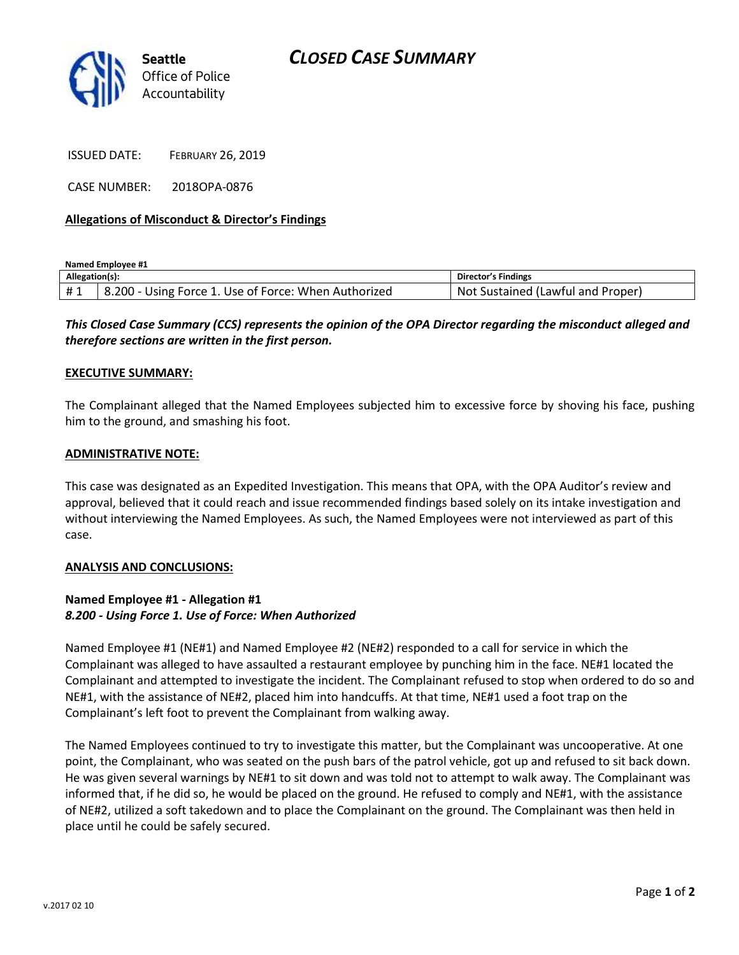

ISSUED DATE: FEBRUARY 26, 2019

CASE NUMBER: 2018OPA-0876

#### **Allegations of Misconduct & Director's Findings**

**Named Employee #1**

| Allegation(s): |                                                      | <b>Director's Findings</b>              |
|----------------|------------------------------------------------------|-----------------------------------------|
| #1             | 8.200 - Using Force 1. Use of Force: When Authorized | : Sustained (Lawful and Proper)<br>Not. |

## *This Closed Case Summary (CCS) represents the opinion of the OPA Director regarding the misconduct alleged and therefore sections are written in the first person.*

#### **EXECUTIVE SUMMARY:**

The Complainant alleged that the Named Employees subjected him to excessive force by shoving his face, pushing him to the ground, and smashing his foot.

#### **ADMINISTRATIVE NOTE:**

This case was designated as an Expedited Investigation. This means that OPA, with the OPA Auditor's review and approval, believed that it could reach and issue recommended findings based solely on its intake investigation and without interviewing the Named Employees. As such, the Named Employees were not interviewed as part of this case.

#### **ANALYSIS AND CONCLUSIONS:**

### **Named Employee #1 - Allegation #1** *8.200 - Using Force 1. Use of Force: When Authorized*

Named Employee #1 (NE#1) and Named Employee #2 (NE#2) responded to a call for service in which the Complainant was alleged to have assaulted a restaurant employee by punching him in the face. NE#1 located the Complainant and attempted to investigate the incident. The Complainant refused to stop when ordered to do so and NE#1, with the assistance of NE#2, placed him into handcuffs. At that time, NE#1 used a foot trap on the Complainant's left foot to prevent the Complainant from walking away.

The Named Employees continued to try to investigate this matter, but the Complainant was uncooperative. At one point, the Complainant, who was seated on the push bars of the patrol vehicle, got up and refused to sit back down. He was given several warnings by NE#1 to sit down and was told not to attempt to walk away. The Complainant was informed that, if he did so, he would be placed on the ground. He refused to comply and NE#1, with the assistance of NE#2, utilized a soft takedown and to place the Complainant on the ground. The Complainant was then held in place until he could be safely secured.